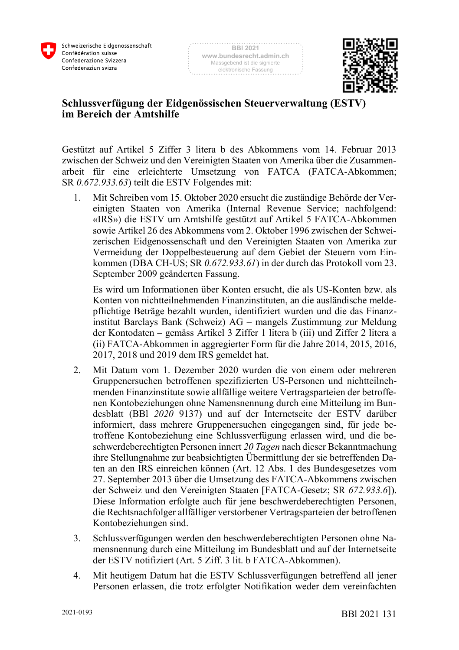



## **Schlussverfügung der Eidgenössischen Steuerverwaltung (ESTV) im Bereich der Amtshilfe**

Gestützt auf Artikel 5 Ziffer 3 litera b des Abkommens vom 14. Februar 2013 zwischen der Schweiz und den Vereinigten Staaten von Amerika über die Zusammenarbeit für eine erleichterte Umsetzung von FATCA (FATCA-Abkommen; SR *0.672.933.63*) teilt die ESTV Folgendes mit:

1. Mit Schreiben vom 15. Oktober 2020 ersucht die zuständige Behörde der Vereinigten Staaten von Amerika (Internal Revenue Service; nachfolgend: «IRS») die ESTV um Amtshilfe gestützt auf Artikel 5 FATCA-Abkommen sowie Artikel 26 des Abkommens vom 2. Oktober 1996 zwischen der Schweizerischen Eidgenossenschaft und den Vereinigten Staaten von Amerika zur Vermeidung der Doppelbesteuerung auf dem Gebiet der Steuern vom Einkommen (DBA CH-US; SR *0.672.933.61*) in der durch das Protokoll vom 23. September 2009 geänderten Fassung.

Es wird um Informationen über Konten ersucht, die als US-Konten bzw. als Konten von nichtteilnehmenden Finanzinstituten, an die ausländische meldepflichtige Beträge bezahlt wurden, identifiziert wurden und die das Finanzinstitut Barclays Bank (Schweiz) AG – mangels Zustimmung zur Meldung der Kontodaten – gemäss Artikel 3 Ziffer 1 litera b (iii) und Ziffer 2 litera a (ii) FATCA-Abkommen in aggregierter Form für die Jahre 2014, 2015, 2016, 2017, 2018 und 2019 dem IRS gemeldet hat.

- 2. Mit Datum vom 1. Dezember 2020 wurden die von einem oder mehreren Gruppenersuchen betroffenen spezifizierten US-Personen und nichtteilnehmenden Finanzinstitute sowie allfällige weitere Vertragsparteien der betroffenen Kontobeziehungen ohne Namensnennung durch eine Mitteilung im Bundesblatt (BBl *2020* 9137) und auf der Internetseite der ESTV darüber informiert, dass mehrere Gruppenersuchen eingegangen sind, für jede betroffene Kontobeziehung eine Schlussverfügung erlassen wird, und die beschwerdeberechtigten Personen innert *20 Tagen* nach dieser Bekanntmachung ihre Stellungnahme zur beabsichtigten Übermittlung der sie betreffenden Daten an den IRS einreichen können (Art. 12 Abs. 1 des Bundesgesetzes vom 27. September 2013 über die Umsetzung des FATCA-Abkommens zwischen der Schweiz und den Vereinigten Staaten [FATCA-Gesetz; SR *672.933.6*]). Diese Information erfolgte auch für jene beschwerdeberechtigten Personen, die Rechtsnachfolger allfälliger verstorbener Vertragsparteien der betroffenen Kontobeziehungen sind.
- 3. Schlussverfügungen werden den beschwerdeberechtigten Personen ohne Namensnennung durch eine Mitteilung im Bundesblatt und auf der Internetseite der ESTV notifiziert (Art. 5 Ziff. 3 lit. b FATCA-Abkommen).
- 4. Mit heutigem Datum hat die ESTV Schlussverfügungen betreffend all jener Personen erlassen, die trotz erfolgter Notifikation weder dem vereinfachten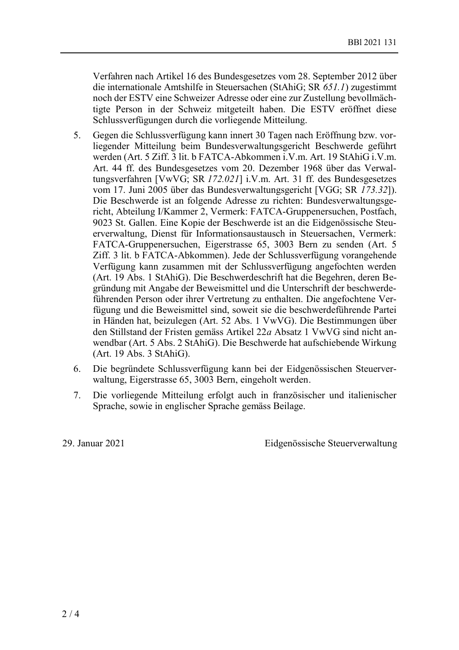Verfahren nach Artikel 16 des Bundesgesetzes vom 28. September 2012 über die internationale Amtshilfe in Steuersachen (StAhiG; SR *651.1*) zugestimmt noch der ESTV eine Schweizer Adresse oder eine zur Zustellung bevollmächtigte Person in der Schweiz mitgeteilt haben. Die ESTV eröffnet diese Schlussverfügungen durch die vorliegende Mitteilung.

- 5. Gegen die Schlussverfügung kann innert 30 Tagen nach Eröffnung bzw. vorliegender Mitteilung beim Bundesverwaltungsgericht Beschwerde geführt werden (Art. 5 Ziff. 3 lit. b FATCA-Abkommen i.V.m. Art. 19 StAhiG i.V.m. Art. 44 ff. des Bundesgesetzes vom 20. Dezember 1968 über das Verwaltungsverfahren [VwVG; SR *172.021*] i.V.m. Art. 31 ff. des Bundesgesetzes vom 17. Juni 2005 über das Bundesverwaltungsgericht [VGG; SR *173.32*]). Die Beschwerde ist an folgende Adresse zu richten: Bundesverwaltungsgericht, Abteilung I/Kammer 2, Vermerk: FATCA-Gruppenersuchen, Postfach, 9023 St. Gallen. Eine Kopie der Beschwerde ist an die Eidgenössische Steuerverwaltung, Dienst für Informationsaustausch in Steuersachen, Vermerk: FATCA-Gruppenersuchen, Eigerstrasse 65, 3003 Bern zu senden (Art. 5 Ziff. 3 lit. b FATCA-Abkommen). Jede der Schlussverfügung vorangehende Verfügung kann zusammen mit der Schlussverfügung angefochten werden (Art. 19 Abs. 1 StAhiG). Die Beschwerdeschrift hat die Begehren, deren Begründung mit Angabe der Beweismittel und die Unterschrift der beschwerdeführenden Person oder ihrer Vertretung zu enthalten. Die angefochtene Verfügung und die Beweismittel sind, soweit sie die beschwerdeführende Partei in Händen hat, beizulegen (Art. 52 Abs. 1 VwVG). Die Bestimmungen über den Stillstand der Fristen gemäss Artikel 22*a* Absatz 1 VwVG sind nicht anwendbar (Art. 5 Abs. 2 StAhiG). Die Beschwerde hat aufschiebende Wirkung (Art. 19 Abs. 3 StAhiG).
- 6. Die begründete Schlussverfügung kann bei der Eidgenössischen Steuerverwaltung, Eigerstrasse 65, 3003 Bern, eingeholt werden.
- 7. Die vorliegende Mitteilung erfolgt auch in französischer und italienischer Sprache, sowie in englischer Sprache gemäss Beilage.

29. Januar 2021 Eidgenössische Steuerverwaltung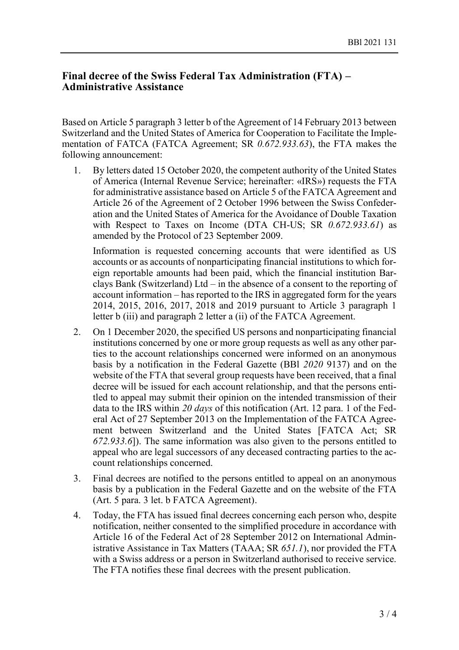## **Final decree of the Swiss Federal Tax Administration (FTA) – Administrative Assistance**

Based on Article 5 paragraph 3 letter b of the Agreement of 14 February 2013 between Switzerland and the United States of America for Cooperation to Facilitate the Implementation of FATCA (FATCA Agreement; SR *0.672.933.63*), the FTA makes the following announcement:

1. By letters dated 15 October 2020, the competent authority of the United States of America (Internal Revenue Service; hereinafter: «IRS») requests the FTA for administrative assistance based on Article 5 of the FATCA Agreement and Article 26 of the Agreement of 2 October 1996 between the Swiss Confederation and the United States of America for the Avoidance of Double Taxation with Respect to Taxes on Income (DTA CH-US; SR *0.672.933.61*) as amended by the Protocol of 23 September 2009.

Information is requested concerning accounts that were identified as US accounts or as accounts of nonparticipating financial institutions to which foreign reportable amounts had been paid, which the financial institution Barclays Bank (Switzerland) Ltd – in the absence of a consent to the reporting of account information – has reported to the IRS in aggregated form for the years 2014, 2015, 2016, 2017, 2018 and 2019 pursuant to Article 3 paragraph 1 letter b (iii) and paragraph 2 letter a (ii) of the FATCA Agreement.

- 2. On 1 December 2020, the specified US persons and nonparticipating financial institutions concerned by one or more group requests as well as any other parties to the account relationships concerned were informed on an anonymous basis by a notification in the Federal Gazette (BBl *2020* 9137) and on the website of the FTA that several group requests have been received, that a final decree will be issued for each account relationship, and that the persons entitled to appeal may submit their opinion on the intended transmission of their data to the IRS within *20 days* of this notification (Art. 12 para. 1 of the Federal Act of 27 September 2013 on the Implementation of the FATCA Agreement between Switzerland and the United States [FATCA Act; SR *672.933.6*]). The same information was also given to the persons entitled to appeal who are legal successors of any deceased contracting parties to the account relationships concerned.
- 3. Final decrees are notified to the persons entitled to appeal on an anonymous basis by a publication in the Federal Gazette and on the website of the FTA (Art. 5 para. 3 let. b FATCA Agreement).
- 4. Today, the FTA has issued final decrees concerning each person who, despite notification, neither consented to the simplified procedure in accordance with Article 16 of the Federal Act of 28 September 2012 on International Administrative Assistance in Tax Matters (TAAA; SR *651.1*), nor provided the FTA with a Swiss address or a person in Switzerland authorised to receive service. The FTA notifies these final decrees with the present publication.